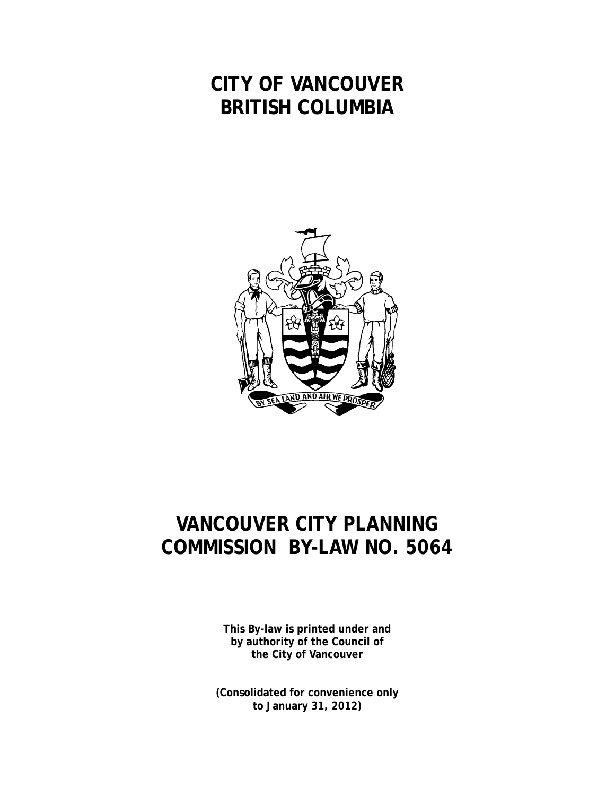## **CITY OF VANCOUVER BRITISH COLUMBIA**



## **VANCOUVER CITY PLANNING COMMISSION BY-LAW NO. 5064**

**This By-law is printed under and by authority of the Council of the City of Vancouver**

**(Consolidated for convenience only to January 31, 2012)**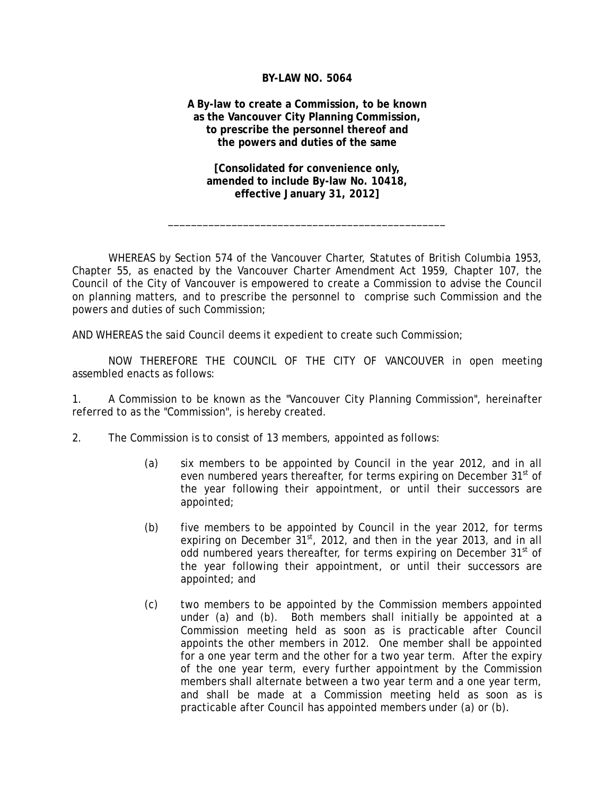## **BY-LAW NO. 5064**

**A By-law to create a Commission, to be known as the Vancouver City Planning Commission, to prescribe the personnel thereof and the powers and duties of the same** 

**[Consolidated for convenience only, amended to include By-law No. 10418, effective January 31, 2012]**

\_\_\_\_\_\_\_\_\_\_\_\_\_\_\_\_\_\_\_\_\_\_\_\_\_\_\_\_\_\_\_\_\_\_\_\_\_\_\_\_\_\_\_\_\_\_\_\_

WHEREAS by Section 574 of the Vancouver Charter, Statutes of British Columbia 1953, Chapter 55, as enacted by the Vancouver Charter Amendment Act 1959, Chapter 107, the Council of the City of Vancouver is empowered to create a Commission to advise the Council on planning matters, and to prescribe the personnel to comprise such Commission and the powers and duties of such Commission;

AND WHEREAS the said Council deems it expedient to create such Commission;

NOW THEREFORE THE COUNCIL OF THE CITY OF VANCOUVER in open meeting assembled enacts as follows:

1. A Commission to be known as the "Vancouver City Planning Commission", hereinafter referred to as the "Commission", is hereby created.

- 2. The Commission is to consist of 13 members, appointed as follows:
	- (a) six members to be appointed by Council in the year 2012, and in all even numbered years thereafter, for terms expiring on December 31<sup>st</sup> of the year following their appointment, or until their successors are appointed;
	- (b) five members to be appointed by Council in the year 2012, for terms expiring on December  $31^{st}$ , 2012, and then in the year 2013, and in all odd numbered years thereafter, for terms expiring on December 31<sup>st</sup> of the year following their appointment, or until their successors are appointed; and
	- (c) two members to be appointed by the Commission members appointed under (a) and (b). Both members shall initially be appointed at a Commission meeting held as soon as is practicable after Council appoints the other members in 2012. One member shall be appointed for a one year term and the other for a two year term. After the expiry of the one year term, every further appointment by the Commission members shall alternate between a two year term and a one year term, and shall be made at a Commission meeting held as soon as is practicable after Council has appointed members under (a) or (b).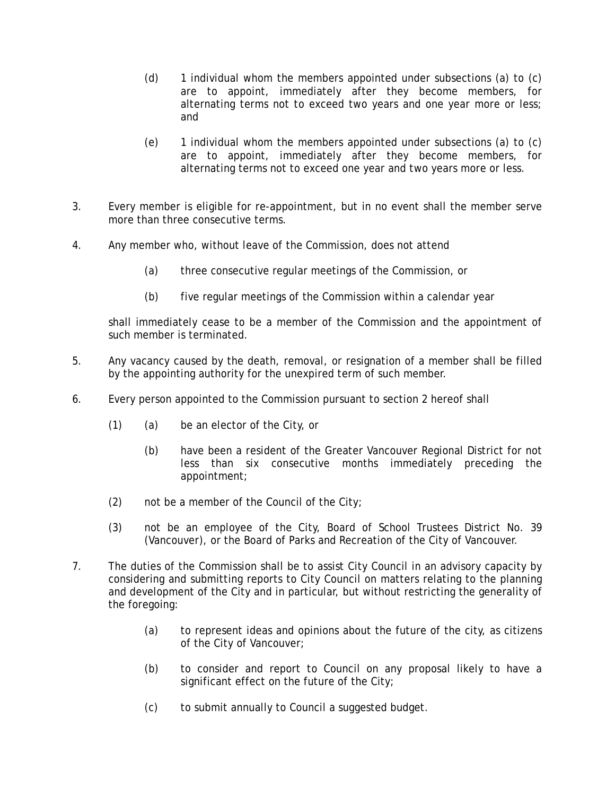- (d) 1 individual whom the members appointed under subsections (a) to (c) are to appoint, immediately after they become members, for alternating terms not to exceed two years and one year more or less; and
- (e) 1 individual whom the members appointed under subsections (a) to (c) are to appoint, immediately after they become members, for alternating terms not to exceed one year and two years more or less.
- 3. Every member is eligible for re-appointment, but in no event shall the member serve more than three consecutive terms.
- 4. Any member who, without leave of the Commission, does not attend
	- (a) three consecutive regular meetings of the Commission, or
	- (b) five regular meetings of the Commission within a calendar year

shall immediately cease to be a member of the Commission and the appointment of such member is terminated.

- 5. Any vacancy caused by the death, removal, or resignation of a member shall be filled by the appointing authority for the unexpired term of such member.
- 6. Every person appointed to the Commission pursuant to section 2 hereof shall
	- (1) (a) be an elector of the City, or
		- (b) have been a resident of the Greater Vancouver Regional District for not less than six consecutive months immediately preceding the appointment;
	- (2) not be a member of the Council of the City;
	- (3) not be an employee of the City, Board of School Trustees District No. 39 (Vancouver), or the Board of Parks and Recreation of the City of Vancouver.
- 7. The duties of the Commission shall be to assist City Council in an advisory capacity by considering and submitting reports to City Council on matters relating to the planning and development of the City and in particular, but without restricting the generality of the foregoing:
	- (a) to represent ideas and opinions about the future of the city, as citizens of the City of Vancouver;
	- (b) to consider and report to Council on any proposal likely to have a significant effect on the future of the City;
	- (c) to submit annually to Council a suggested budget.